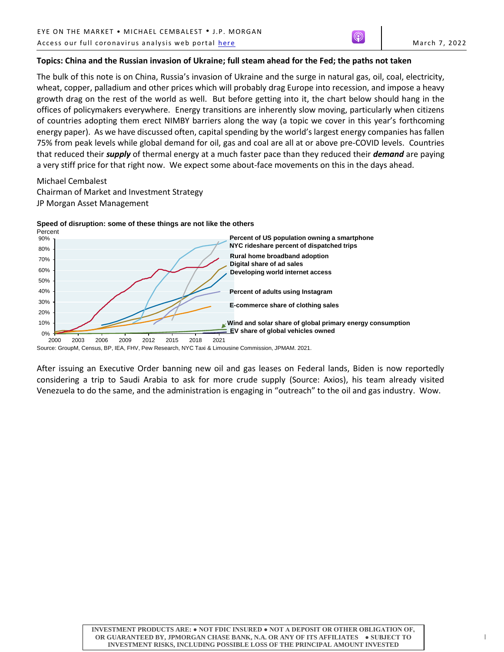## **Topics: China and the Russian invasion of Ukraine; full steam ahead for the Fed; the paths not taken**

 The bulk of this note is on China, Russia's invasion of Ukraine and the surge in natural gas, oil, coal, electricity, wheat, copper, palladium and other prices which will probably drag Europe into recession, and impose a heavy growth drag on the rest of the world as well. But before getting into it, the chart below should hang in the offices of policymakers everywhere. Energy transitions are inherently slow moving, particularly when citizens of countries adopting them erect NIMBY barriers along the way (a topic we cover in this year's forthcoming energy paper). As we have discussed often, capital spending by the world's largest energy companies has fallen 75% from peak levels while global demand for oil, gas and coal are all at or above pre-COVID levels. Countries that reduced their *supply* of thermal energy at a much faster pace than they reduced their *demand* are paying a very stiff price for that right now. We expect some about-face movements on this in the days ahead.

Michael Cembalest

 Chairman of Market and Investment Strategy JP Morgan Asset Management



## **Speed of disruption: some of these things are not like the others**

Source: GroupM, Census, BP, IEA, FHV, Pew Research, NYC Taxi & Limousine Commission, JPMAM. 2021.

 After issuing an Executive Order banning new oil and gas leases on Federal lands, Biden is now reportedly considering a trip to Saudi Arabia to ask for more crude supply (Source: Axios), his team already visited Venezuela to do the same, and the administration is engaging in "outreach" to the oil and gas industry. Wow.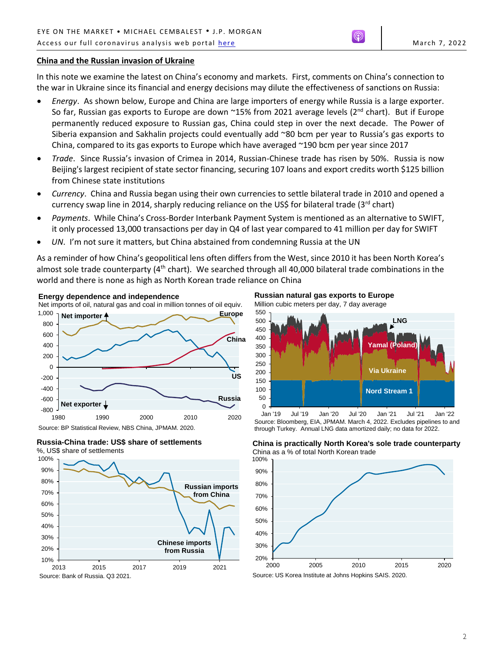## **China and the Russian invasion of Ukraine**

In this note we examine the latest on China's economy and markets. First, comments on China's connection to the war in Ukraine since its financial and energy decisions may dilute the effectiveness of sanctions on Russia:

- *Energy*. As shown below, Europe and China are large importers of energy while Russia is a large exporter. So far, Russian gas exports to Europe are down  $\sim$ 15% from 2021 average levels (2<sup>nd</sup> chart). But if Europe permanently reduced exposure to Russian gas, China could step in over the next decade. The Power of Siberia expansion and Sakhalin projects could eventually add ~80 bcm per year to Russia's gas exports to China, compared to its gas exports to Europe which have averaged  $\sim$ 190 bcm per year since 2017
- *Trade*. Since Russia's invasion of Crimea in 2014, Russian-Chinese trade has risen by 50%. Russia is now Beijing's largest recipient of state sector financing, securing 107 loans and export credits worth \$125 billion from Chinese state institutions
- *Currency*. China and Russia began using their own currencies to settle bilateral trade in 2010 and opened a currency swap line in 2014, sharply reducing reliance on the US\$ for bilateral trade ( $3<sup>rd</sup>$  chart)
- *Payments*. While China's Cross-Border Interbank Payment System is mentioned as an alternative to SWIFT, it only processed 13,000 transactions per day in Q4 of last year compared to 41 million per day for SWIFT
- *UN*. I'm not sure it matters, but China abstained from condemning Russia at the UN

As a reminder of how China's geopolitical lens often differs from the West, since 2010 it has been North Korea's almost sole trade counterparty (4<sup>th</sup> chart). We searched through all 40,000 bilateral trade combinations in the world and there is none as high as North Korean trade reliance on China





%, US\$ share of settlements



 **Russian natural gas exports to Europe**

Million cubic meters per day, 7 day average



 Source: Bloomberg, EIA, JPMAM. March 4, 2022. Excludes pipelines to and through Turkey. Annual LNG data amortized daily; no data for 2022. Jan '19 Jul '19 Jan '20 Jul '20 Jan '21 Jul '21 Jan '22

 China as a % of total North Korean trade **China is practically North Korea's sole trade counterparty** 



Source: US Korea Institute at Johns Hopkins SAIS. 2020.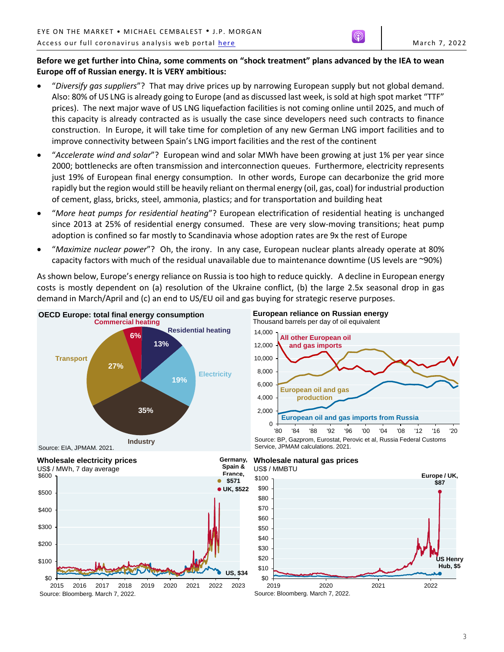# **Before we get further into China, some comments on "shock treatment" plans advanced by the IEA to wean Europe off of Russian energy. It is VERY ambitious:**

- "*Diversify gas suppliers*"? That may drive prices up by narrowing European supply but not global demand. Also: 80% of US LNG is already going to Europe (and as discussed last week, is sold at high spot market "TTF" prices). The next major wave of US LNG liquefaction facilities is not coming online until 2025, and much of this capacity is already contracted as is usually the case since developers need such contracts to finance construction. In Europe, it will take time for completion of any new German LNG import facilities and to improve connectivity between Spain's LNG import facilities and the rest of the continent
- "*Accelerate wind and solar*"? European wind and solar MWh have been growing at just 1% per year since 2000; bottlenecks are often transmission and interconnection queues. Furthermore, electricity represents just 19% of European final energy consumption. In other words, Europe can decarbonize the grid more rapidly but the region would still be heavily reliant on thermal energy (oil, gas, coal) for industrial production of cement, glass, bricks, steel, ammonia, plastics; and for transportation and building heat
- "*More heat pumps for residential heating*"? European electrification of residential heating is unchanged since 2013 at 25% of residential energy consumed. These are very slow-moving transitions; heat pump adoption is confined so far mostly to Scandinavia whose adoption rates are 9x the rest of Europe
- "*Maximize nuclear power*"? Oh, the irony. In any case, European nuclear plants already operate at 80% capacity factors with much of the residual unavailable due to maintenance downtime (US levels are ~90%)

As shown below, Europe's energy reliance on Russia is too high to reduce quickly. A decline in European energy costs is mostly dependent on (a) resolution of the Ukraine conflict, (b) the large 2.5x seasonal drop in gas demand in March/April and (c) an end to US/EU oil and gas buying for strategic reserve purposes.









# **Wholesale natural gas prices**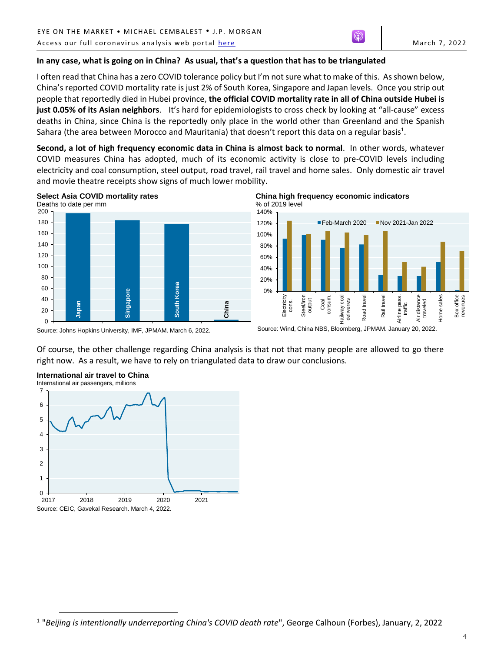## In any case, what is going on in China? As usual, that's a question that has to be triangulated

I often read that China has a zero COVID tolerance policy but I'm not sure what to make of this. As shown below, China's reported COVID mortality rate is just 2% of South Korea, Singapore and Japan levels. Once you strip out people that reportedly died in Hubei province, **the official COVID mortality rate in all of China outside Hubei is just 0.05% of its Asian neighbors**. It's hard for epidemiologists to cross check by looking at "all-cause" excess deaths in China, since China is the reportedly only place in the world other than Greenland and the Spanish Sahara (the area between Morocco and Mauritania) that doesn't report this data on a regular basis<sup>1</sup>.

 **Second, a lot of high frequency economic data in China is almost back to normal**. In other words, whatever COVID measures China has adopted, much of its economic activity is close to pre-COVID levels including electricity and coal consumption, steel output, road travel, rail travel and home sales. Only domestic air travel and movie theatre receipts show signs of much lower mobility.



## % of 2019 level **China high frequency economic indicators**



Source: Johns Hopkins University, IMF, JPMAM. March 6, 2022.

Source: Wind, China NBS, Bloomberg, JPMAM. January 20, 2022.

 Of course, the other challenge regarding China analysis is that not that many people are allowed to go there right now. As a result, we have to rely on triangulated data to draw our conclusions.



Source: CEIC, Gavekal Research. March 4, 2022.

 $\overline{a}$ 

<sup>1</sup> "*Beijing is intentionally underreporting China's COVID death rate*", George Calhoun (Forbes), January, 2, 2022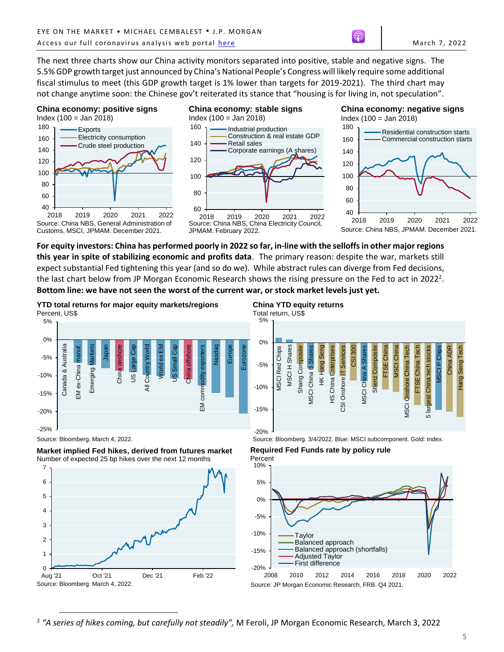The next three charts show our China activity monitors separated into positive, stable and negative signs. The 5.5% GDP growth target just announced by China's National People's Congress will likely require some additional fiscal stimulus to meet (this GDP growth target is 1% lower than targets for 2019-2021). The third chart may not change anytime soon: the Chinese gov't reiterated its stance that "housing is for living in, not speculation".

# **China economy: positive signs**



 Source: China NBS, General Administration of Customs, MSCI, JPMAM. December 2021.







**For equity investors: China has performed poorly in 2022 so far, in-line with the selloffs in other major regions this year in spite of stabilizing economic and profits data**. The primary reason: despite the war, markets still expect substantial Fed tightening this year (and so do we). While abstract rules can diverge from Fed decisions, the last chart below from JP Morgan Economic Research shows the rising pressure on the Fed to act in 2022<sup>2</sup>. **Bottom line: we have not seen the worst of the current war, or stock market levels just yet.** 



Source: Bloomberg. March 4, 2022.

 $\overline{a}$ 









Source: Bloomberg. 3/4/2022. Blue: MSCI subcomponent. Gold: Index.

 **Required Fed Funds rate by policy rule** 



<sup>2</sup> "A series of hikes coming, but carefully not steadily", M Feroli, JP Morgan Economic Research, March 3, 2022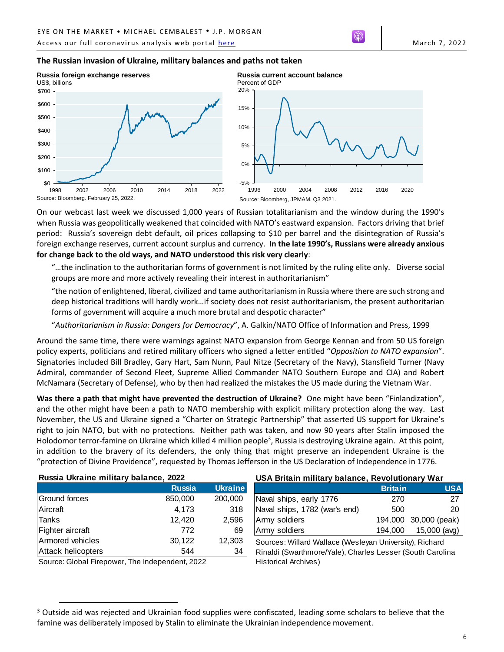Access our full coronavirus analysis web portal <u>here</u> March 7, 2022 March 7, 2022

## **The Russian invasion of Ukraine, military balances and paths not taken**



 On our webcast last week we discussed 1,000 years of Russian totalitarianism and the window during the 1990's when Russia was geopolitically weakened that coincided with NATO's eastward expansion. Factors driving that brief period. Russia's sovereign debt default, oil prices collapsing to \$10 per barrel and the disintegration of Russia's foreign exchange reserves, current account surplus and currency. **In the late 1990's, Russians were already anxious for change back to the old ways, and NATO understood this risk very clearly**:

"...the inclination to the authoritarian forms of government is not limited by the ruling elite only. Diverse social groups are more and more actively revealing their interest in authoritarianism"

"the notion of enlightened, liberal, civilized and tame authoritarianism in Russia where there are such strong and deep historical traditions will hardly work...if society does not resist authoritarianism, the present authoritarian forms of government will acquire a much more brutal and despotic character"

 "*Authoritarianism in Russia: Dangers for Democracy*", A. Galkin/NATO Office of Information and Press, 1999

 Around the same time, there were warnings against NATO expansion from George Kennan and from 50 US foreign policy experts, politicians and retired military officers who signed a letter entitled "Opposition to NATO expansion". Signatories included Bill Bradley, Gary Hart, Sam Nunn, Paul Nitze (Secretary of the Navy), Stansfield Turner (Navy Admiral, commander of Second Fleet, Supreme Allied Commander NATO Southern Europe and CIA) and Robert McNamara (Secretary of Defense), who by then had realized the mistakes the US made during the Vietnam War.

**Was there a path that might have prevented the destruction of Ukraine?** One might have been "Finlandization", and the other might have been a path to NATO membership with explicit military protection along the way. Last November, the US and Ukraine signed a "Charter on Strategic Partnership" that asserted US support for Ukraine's right to join NATO, but with no protections. Neither path was taken, and now 90 years after Stalin imposed the Holodomor terror-famine on Ukraine which killed 4 million people<sup>3</sup>, Russia is destroying Ukraine again. At this point, in addition to the bravery of its defenders, the only thing that might preserve an independent Ukraine is the "protection of Divine Providence", requested by Thomas Jefferson in the US Declaration of Independence in 1776.

|                    | <b>Russia</b> | <b>Ukraine</b> |
|--------------------|---------------|----------------|
| Ground forces      | 850,000       | 200,000        |
| Aircraft           | 4,173         | 318            |
| Tanks              | 12,420        | 2,596          |
| Fighter aircraft   | 772           | 69             |
| Armored vehicles   | 30,122        | 12,303         |
| Attack helicopters | 544           | 34             |

## **Russia Ukraine military balance, 2022 USA Britain military balance, Revolutionary War**

|                                                          | <b>Britain</b> | <b>USA</b>            |  |
|----------------------------------------------------------|----------------|-----------------------|--|
| Naval ships, early 1776                                  | 270            | 27                    |  |
| Naval ships, 1782 (war's end)                            | 500            | 20                    |  |
| Army soldiers                                            |                | 194,000 30,000 (peak) |  |
| Army soldiers                                            |                | 194,000  15,000 (avg) |  |
| Sources: Willard Wallace (Wesleyan University), Richard  |                |                       |  |
| Rinaldi (Swarthmore/Vale) Charles Lesser (South Carolina |                |                       |  |

Source: Global Firepower, The Independent, 2022 Historical Archives)

 $\overline{a}$ 

Rinaldi (Swarthmore/Yale), Charles Lesser (South Carolina

 $3$  Outside aid was rejected and Ukrainian food supplies were confiscated, leading some scholars to believe that the famine was deliberately imposed by Stalin to eliminate the Ukrainian independence movement.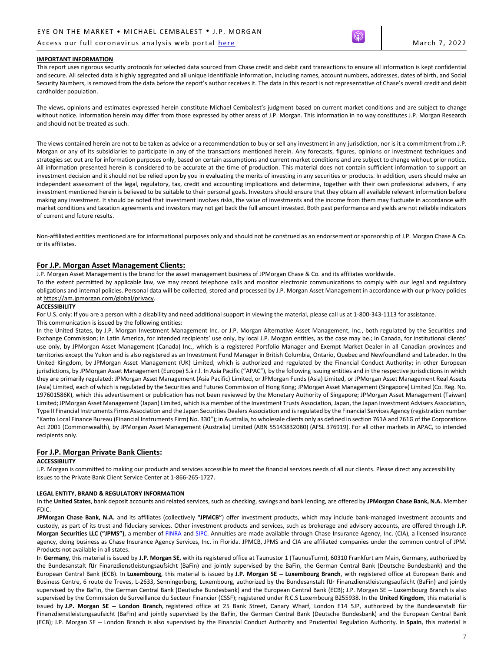## Access our full coronavirus analysis web portal <u>here</u> March 7, 2022 March 7, 2022

### **IMPORTANT INFORMATION**

 This report uses rigorous security protocols for selected data sourced from Chase credit and debit card transactions to ensure all information is kept confidential and secure. All selected data is highly aggregated and all unique identifiable information, including names, account numbers, addresses, dates of birth, and Social Security Numbers, is removed from the data before the report's author receives it. The data in this report is not representative of Chase's overall credit and debit cardholder population.

 The views, opinions and estimates expressed herein constitute Michael Cembalest's judgment based on current market conditions and are subject to change without notice. Information herein may differ from those expressed by other areas of J.P. Morgan. This information in no way constitutes J.P. Morgan Research and should not be treated as such.

 The views contained herein are not to be taken as advice or a recommendation to buy or sell any investment in any jurisdiction, nor is it a commitment from J.P. Morgan or any of its subsidiaries to participate in any of the transactions mentioned herein. Any forecasts, figures, opinions or investment techniques and strategies set out are for information purposes only, based on certain assumptions and current market conditions and are subject to change without prior notice. All information presented herein is considered to be accurate at the time of production. This material does not contain sufficient information to support an investment decision and it should not be relied upon by you in evaluating the merits of investing in any securities or products. In addition, users should make an independent assessment of the legal, regulatory, tax, credit and accounting implications and determine, together with their own professional advisers, if any making any investment. It should be noted that investment involves risks, the value of investments and the income from them may fluctuate in accordance with market conditions and taxation agreements and investors may not get back the full amount invested. Both past performance and yields are not reliable indicators investment mentioned herein is believed to be suitable to their personal goals. Investors should ensure that they obtain all available relevant information before of current and future results.

 Non-affiliated entities mentioned are for informational purposes only and should not be construed as an endorsement or sponsorship of J.P. Morgan Chase & Co. or its affiliates.

## **For J.P. Morgan Asset Management Clients:**

J.P. Morgan Asset Management is the brand for the asset management business of JPMorgan Chase & Co. and its affiliates worldwide.

To the extent permitted by applicable law, we may record telephone calls and monitor electronic communications to comply with our legal and regulatory obligations and internal policies. Personal data will be collected, stored and processed by J.P. Morgan Asset Management in accordance with our privacy policies at [https://am.jpmorgan.com/global/privacy.](https://am.jpmorgan.com/global/privacy)

#### **ACCESSIBILITY**

For U.S. only: If you are a person with a disability and need additional support in viewing the material, please call us at 1-800-343-1113 for assistance.

#### This communication is issued by the following entities:

In the United States, by J.P. Morgan Investment Management Inc. or J.P. Morgan Alternative Asset Management, Inc., both regulated by the Securities and Exchange Commission; in Latin America, for intended recipients' use only, by local J.P. Morgan entities, as the case may be.; in Canada, for institutional clients' use only, by JPMorgan Asset Management (Canada) Inc., which is a registered Portfolio Manager and Exempt Market Dealer in all Canadian provinces and territories except the Yukon and is also registered as an Investment Fund Manager in British Columbia, Ontario, Quebec and Newfoundland and Labrador. In the United Kingdom, by JPMorgan Asset Management (UK) Limited, which is authorized and regulated by the Financial Conduct Authority; in other European jurisdictions, by JPMorgan Asset Management (Europe) S.à r.l. In Asia Pacific ("APAC"), by the following issuing entities and in the respective jurisdictions in which they are primarily regulated: JPMorgan Asset Management (Asia Pacific) Limited, or JPMorgan Funds (Asia) Limited, or JPMorgan Asset Management Real Assets (Asia) Limited, each of which is regulated by the Securities and Futures Commission of Hong Kong; JPMorgan Asset Management (Singapore) Limited (Co. Reg. No. 197601586K), which this advertisement or publication has not been reviewed by the Monetary Authority of Singapore; JPMorgan Asset Management (Taiwan) Limited; JPMorgan Asset Management (Japan) Limited, which is a member of the Investment Trusts Association, Japan, the Japan Investment Advisers Association, Type II Financial Instruments Firms Association and the Japan Securities Dealers Association and is regulated by the Financial Services Agency (registration number "Kanto Local Finance Bureau (Financial Instruments Firm) No. 330"); in Australia, to wholesale clients only as defined in section 761A and 761G of the Corporations Act 2001 (Commonwealth), by JPMorgan Asset Management (Australia) Limited (ABN 55143832080) (AFSL 376919). For all other markets in APAC, to intended recipients only.

## **For J.P. Morgan Private Bank Clients:**

#### **ACCESSIBILITY**

J.P. Morgan is committed to making our products and services accessible to meet the financial services needs of all our clients. Please direct any accessibility issues to the Private Bank Client Service Center at 1-866-265-1727.

#### **LEGAL ENTITY, BRAND & REGULATORY INFORMATION**

 In the **United States**, bank deposit accounts and related services, such as checking, savings and bank lending, are offered by **JPMorgan Chase Bank, N.A.** Member FDIC.

JPMorgan Chase Bank, N.A. and its affiliates (collectively "JPMCB") offer investment products, which may include bank-managed investment accounts and custody, as part of its trust and fiduciary services. Other investment products and services, such as brokerage and advisory accounts, are offered through **J.P. Morgan Securities LL ("JPMS")**, a member of [FINRA](http://www.finra.org/) an[d SIPC.](http://www.sipc.org/) Annuities are made available through Chase Insurance Agency, Inc. (CIA), a licensed insurance agency, doing business as Chase Insurance Agency Services, Inc. in Florida. JPMCB, JPMS and CIA are affiliated companies under the common control of JPM. Products not available in all states.

 the Bundesanstalt für Finanzdienstleistungsaufsicht (BaFin) and jointly supervised by the BaFin, the German Central Bank (Deutsche Bundesbank) and the European Central Bank (ECB). In **Luxembourg**, this material is issued by **J.P. Morgan SE – Luxembourg Branch**, with registered office at European Bank and Business Centre, 6 route de Treves, L-2633, Senningerberg, Luxembourg, authorized by the Bundesanstalt für Finanzdienstleistungsaufsicht (BaFin) and jointly supervised by the BaFin, the German Central Bank (Deutsche Bundesbank) and the European Central Bank (ECB); J.P. Morgan SE – Luxembourg Branch is also supervised by the Commission de Surveillance du Secteur Financier (CSSF); registered under R.C.S Luxembourg B255938. In the **United Kingdom**, this material is  issued by **J.P. Morgan SE – London Branch**, registered office at 25 Bank Street, Canary Wharf, London E14 5JP, authorized by the Bundesanstalt für Finanzdienstleistungsaufsicht (BaFin) and jointly supervised by the BaFin, the German Central Bank (Deutsche Bundesbank) and the European Central Bank (ECB); J.P. Morgan SE – London Branch is also supervised by the Financial Conduct Authority and Prudential Regulation Authority. In **Spain**, this material is In **Germany**, this material is issued by **J.P. Morgan SE**, with its registered office at Taunustor 1 (TaunusTurm), 60310 Frankfurt am Main, Germany, authorized by